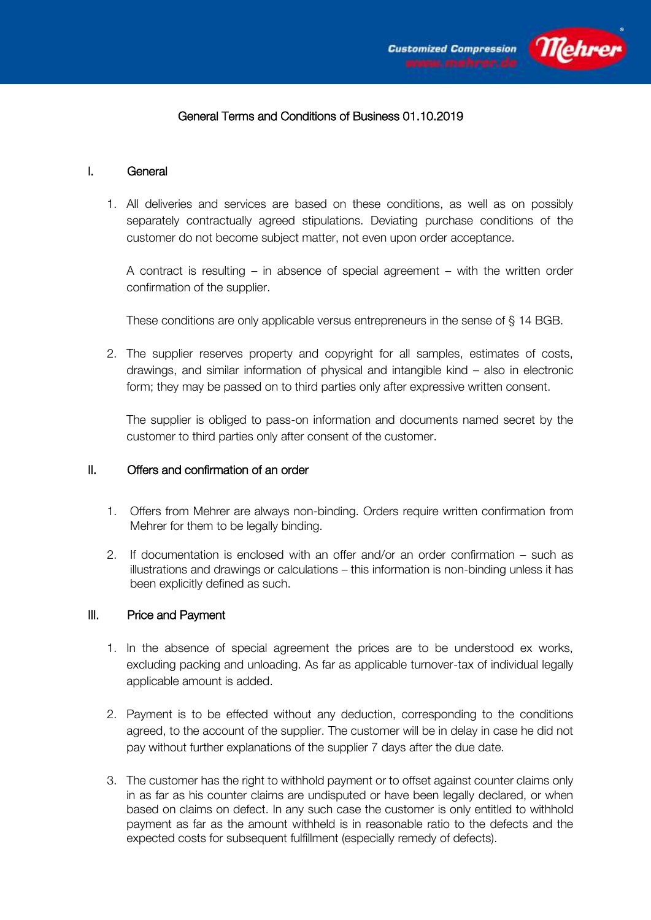

# General Terms and Conditions of Business 01.10.2019

# I. General

1. All deliveries and services are based on these conditions, as well as on possibly separately contractually agreed stipulations. Deviating purchase conditions of the customer do not become subject matter, not even upon order acceptance.

A contract is resulting – in absence of special agreement – with the written order confirmation of the supplier.

These conditions are only applicable versus entrepreneurs in the sense of § 14 BGB.

2. The supplier reserves property and copyright for all samples, estimates of costs, drawings, and similar information of physical and intangible kind – also in electronic form; they may be passed on to third parties only after expressive written consent.

The supplier is obliged to pass-on information and documents named secret by the customer to third parties only after consent of the customer.

# II. Offers and confirmation of an order

- 1. Offers from Mehrer are always non-binding. Orders require written confirmation from Mehrer for them to be legally binding.
- 2. If documentation is enclosed with an offer and/or an order confirmation such as illustrations and drawings or calculations – this information is non-binding unless it has been explicitly defined as such.

# III. Price and Payment

- 1. In the absence of special agreement the prices are to be understood ex works, excluding packing and unloading. As far as applicable turnover-tax of individual legally applicable amount is added.
- 2. Payment is to be effected without any deduction, corresponding to the conditions agreed, to the account of the supplier. The customer will be in delay in case he did not pay without further explanations of the supplier 7 days after the due date.
- 3. The customer has the right to withhold payment or to offset against counter claims only in as far as his counter claims are undisputed or have been legally declared, or when based on claims on defect. In any such case the customer is only entitled to withhold payment as far as the amount withheld is in reasonable ratio to the defects and the expected costs for subsequent fulfillment (especially remedy of defects).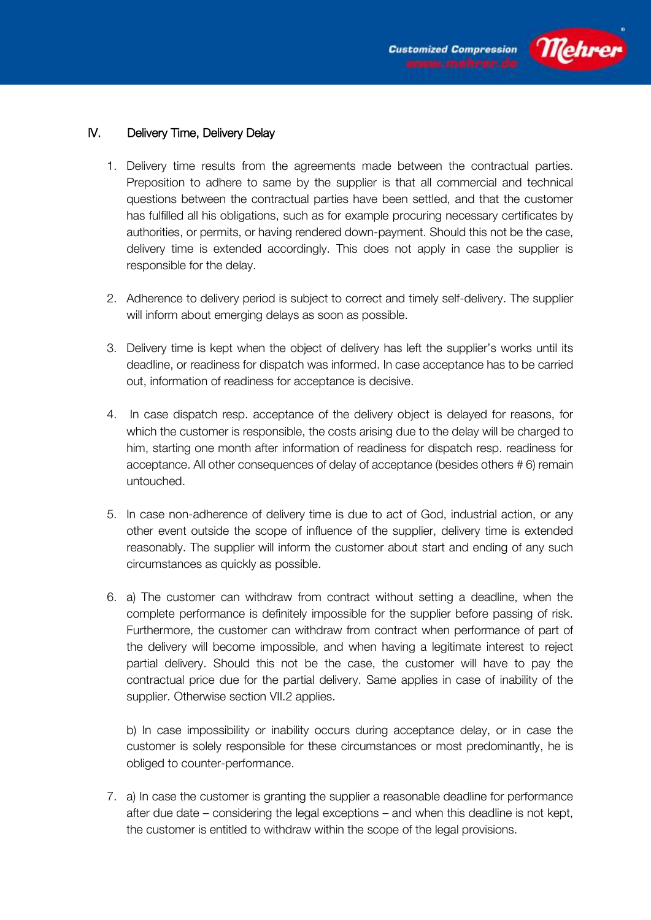

# IV. Delivery Time, Delivery Delay

- 1. Delivery time results from the agreements made between the contractual parties. Preposition to adhere to same by the supplier is that all commercial and technical questions between the contractual parties have been settled, and that the customer has fulfilled all his obligations, such as for example procuring necessary certificates by authorities, or permits, or having rendered down-payment. Should this not be the case, delivery time is extended accordingly. This does not apply in case the supplier is responsible for the delay.
- 2. Adherence to delivery period is subject to correct and timely self-delivery. The supplier will inform about emerging delays as soon as possible.
- 3. Delivery time is kept when the object of delivery has left the supplier's works until its deadline, or readiness for dispatch was informed. In case acceptance has to be carried out, information of readiness for acceptance is decisive.
- 4. In case dispatch resp. acceptance of the delivery object is delayed for reasons, for which the customer is responsible, the costs arising due to the delay will be charged to him, starting one month after information of readiness for dispatch resp. readiness for acceptance. All other consequences of delay of acceptance (besides others # 6) remain untouched.
- 5. In case non-adherence of delivery time is due to act of God, industrial action, or any other event outside the scope of influence of the supplier, delivery time is extended reasonably. The supplier will inform the customer about start and ending of any such circumstances as quickly as possible.
- 6. a) The customer can withdraw from contract without setting a deadline, when the complete performance is definitely impossible for the supplier before passing of risk. Furthermore, the customer can withdraw from contract when performance of part of the delivery will become impossible, and when having a legitimate interest to reject partial delivery. Should this not be the case, the customer will have to pay the contractual price due for the partial delivery. Same applies in case of inability of the supplier. Otherwise section VII.2 applies.

b) In case impossibility or inability occurs during acceptance delay, or in case the customer is solely responsible for these circumstances or most predominantly, he is obliged to counter-performance.

7. a) In case the customer is granting the supplier a reasonable deadline for performance after due date – considering the legal exceptions – and when this deadline is not kept, the customer is entitled to withdraw within the scope of the legal provisions.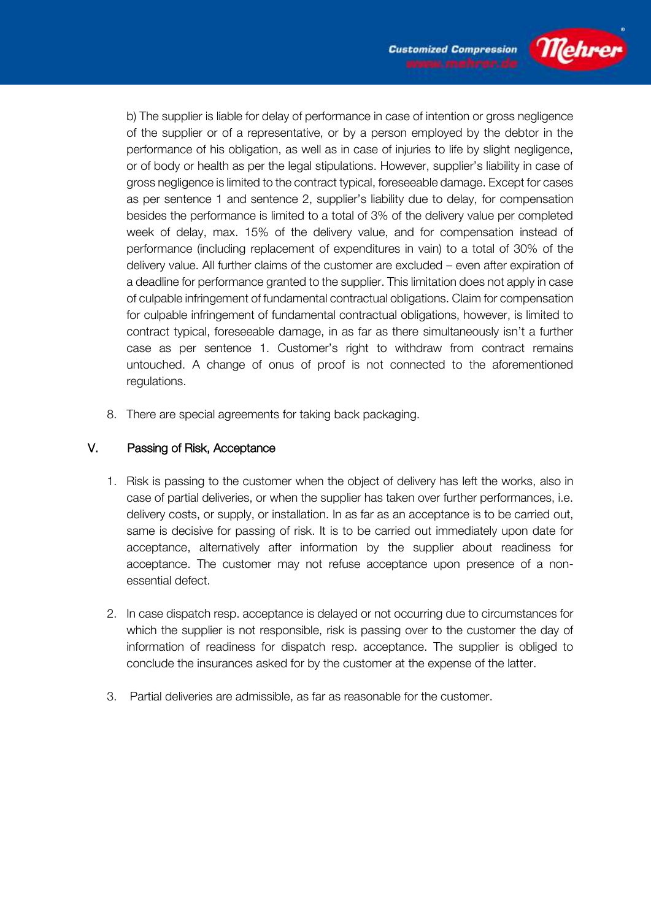

b) The supplier is liable for delay of performance in case of intention or gross negligence of the supplier or of a representative, or by a person employed by the debtor in the performance of his obligation, as well as in case of injuries to life by slight negligence, or of body or health as per the legal stipulations. However, supplier's liability in case of gross negligence is limited to the contract typical, foreseeable damage. Except for cases as per sentence 1 and sentence 2, supplier's liability due to delay, for compensation besides the performance is limited to a total of 3% of the delivery value per completed week of delay, max. 15% of the delivery value, and for compensation instead of performance (including replacement of expenditures in vain) to a total of 30% of the delivery value. All further claims of the customer are excluded – even after expiration of a deadline for performance granted to the supplier. This limitation does not apply in case of culpable infringement of fundamental contractual obligations. Claim for compensation for culpable infringement of fundamental contractual obligations, however, is limited to contract typical, foreseeable damage, in as far as there simultaneously isn't a further case as per sentence 1. Customer's right to withdraw from contract remains untouched. A change of onus of proof is not connected to the aforementioned regulations.

8. There are special agreements for taking back packaging.

### V. Passing of Risk, Acceptance

- 1. Risk is passing to the customer when the object of delivery has left the works, also in case of partial deliveries, or when the supplier has taken over further performances, i.e. delivery costs, or supply, or installation. In as far as an acceptance is to be carried out, same is decisive for passing of risk. It is to be carried out immediately upon date for acceptance, alternatively after information by the supplier about readiness for acceptance. The customer may not refuse acceptance upon presence of a nonessential defect.
- 2. In case dispatch resp. acceptance is delayed or not occurring due to circumstances for which the supplier is not responsible, risk is passing over to the customer the day of information of readiness for dispatch resp. acceptance. The supplier is obliged to conclude the insurances asked for by the customer at the expense of the latter.
- 3. Partial deliveries are admissible, as far as reasonable for the customer.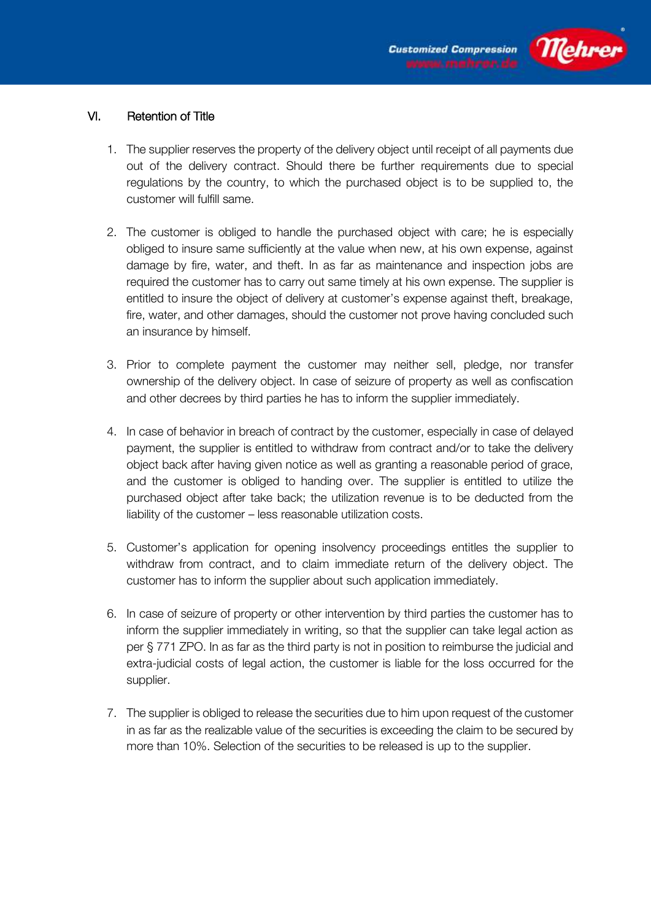



# VI. Retention of Title

- 1. The supplier reserves the property of the delivery object until receipt of all payments due out of the delivery contract. Should there be further requirements due to special regulations by the country, to which the purchased object is to be supplied to, the customer will fulfill same.
- 2. The customer is obliged to handle the purchased object with care; he is especially obliged to insure same sufficiently at the value when new, at his own expense, against damage by fire, water, and theft. In as far as maintenance and inspection jobs are required the customer has to carry out same timely at his own expense. The supplier is entitled to insure the object of delivery at customer's expense against theft, breakage, fire, water, and other damages, should the customer not prove having concluded such an insurance by himself.
- 3. Prior to complete payment the customer may neither sell, pledge, nor transfer ownership of the delivery object. In case of seizure of property as well as confiscation and other decrees by third parties he has to inform the supplier immediately.
- 4. In case of behavior in breach of contract by the customer, especially in case of delayed payment, the supplier is entitled to withdraw from contract and/or to take the delivery object back after having given notice as well as granting a reasonable period of grace, and the customer is obliged to handing over. The supplier is entitled to utilize the purchased object after take back; the utilization revenue is to be deducted from the liability of the customer – less reasonable utilization costs.
- 5. Customer's application for opening insolvency proceedings entitles the supplier to withdraw from contract, and to claim immediate return of the delivery object. The customer has to inform the supplier about such application immediately.
- 6. In case of seizure of property or other intervention by third parties the customer has to inform the supplier immediately in writing, so that the supplier can take legal action as per § 771 ZPO. In as far as the third party is not in position to reimburse the judicial and extra-judicial costs of legal action, the customer is liable for the loss occurred for the supplier.
- 7. The supplier is obliged to release the securities due to him upon request of the customer in as far as the realizable value of the securities is exceeding the claim to be secured by more than 10%. Selection of the securities to be released is up to the supplier.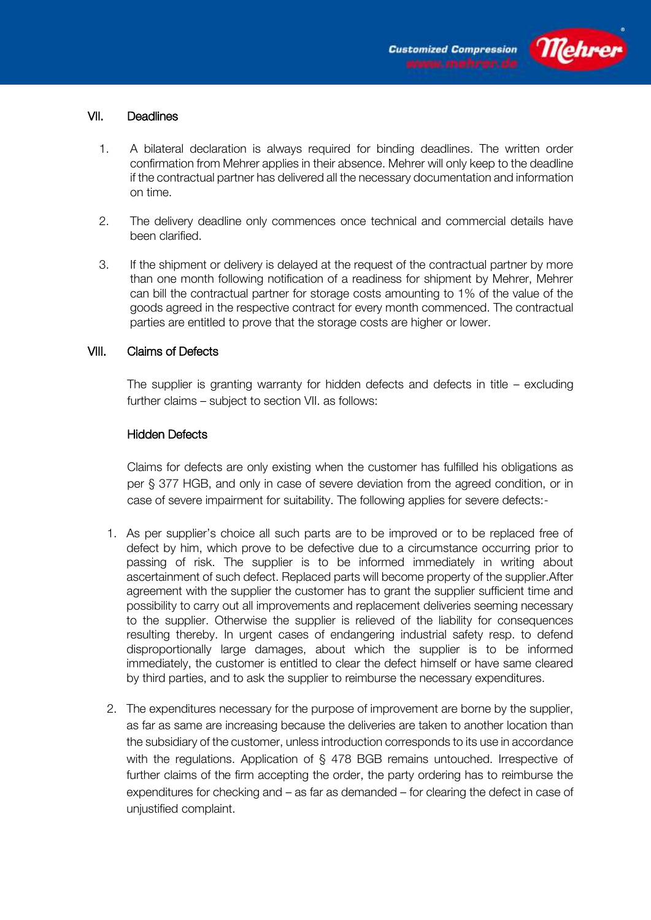



## VII. Deadlines

- 1. A bilateral declaration is always required for binding deadlines. The written order confirmation from Mehrer applies in their absence. Mehrer will only keep to the deadline if the contractual partner has delivered all the necessary documentation and information on time.
- 2. The delivery deadline only commences once technical and commercial details have been clarified.
- 3. If the shipment or delivery is delayed at the request of the contractual partner by more than one month following notification of a readiness for shipment by Mehrer, Mehrer can bill the contractual partner for storage costs amounting to 1% of the value of the goods agreed in the respective contract for every month commenced. The contractual parties are entitled to prove that the storage costs are higher or lower.

#### VIII. Claims of Defects

The supplier is granting warranty for hidden defects and defects in title – excluding further claims – subject to section VII. as follows:

#### Hidden Defects

Claims for defects are only existing when the customer has fulfilled his obligations as per § 377 HGB, and only in case of severe deviation from the agreed condition, or in case of severe impairment for suitability. The following applies for severe defects:-

- 1. As per supplier's choice all such parts are to be improved or to be replaced free of defect by him, which prove to be defective due to a circumstance occurring prior to passing of risk. The supplier is to be informed immediately in writing about ascertainment of such defect. Replaced parts will become property of the supplier.After agreement with the supplier the customer has to grant the supplier sufficient time and possibility to carry out all improvements and replacement deliveries seeming necessary to the supplier. Otherwise the supplier is relieved of the liability for consequences resulting thereby. In urgent cases of endangering industrial safety resp. to defend disproportionally large damages, about which the supplier is to be informed immediately, the customer is entitled to clear the defect himself or have same cleared by third parties, and to ask the supplier to reimburse the necessary expenditures.
- 2. The expenditures necessary for the purpose of improvement are borne by the supplier, as far as same are increasing because the deliveries are taken to another location than the subsidiary of the customer, unless introduction corresponds to its use in accordance with the regulations. Application of § 478 BGB remains untouched. Irrespective of further claims of the firm accepting the order, the party ordering has to reimburse the expenditures for checking and – as far as demanded – for clearing the defect in case of unjustified complaint.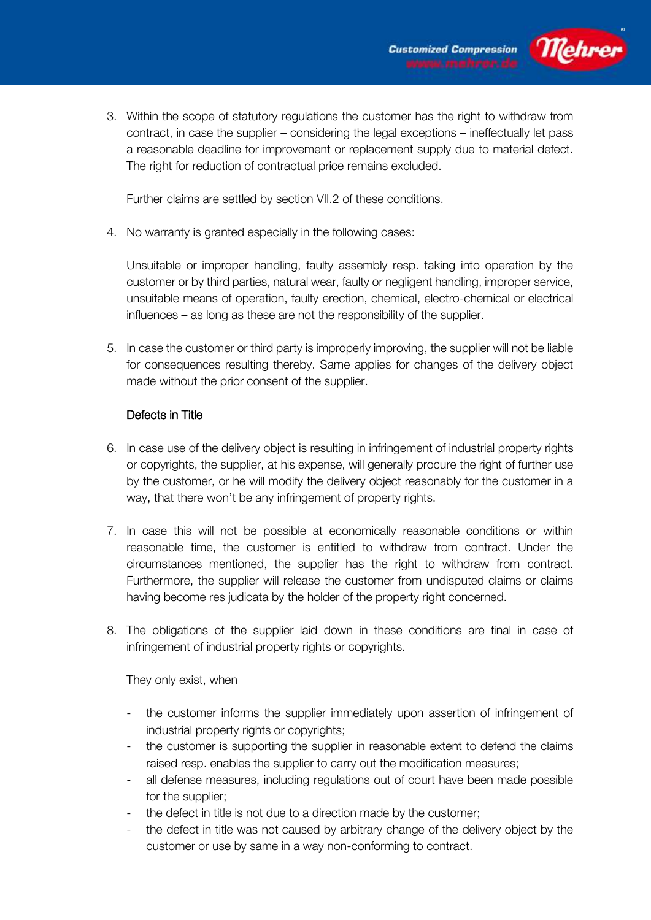

3. Within the scope of statutory regulations the customer has the right to withdraw from contract, in case the supplier – considering the legal exceptions – ineffectually let pass a reasonable deadline for improvement or replacement supply due to material defect. The right for reduction of contractual price remains excluded.

Further claims are settled by section VII.2 of these conditions.

4. No warranty is granted especially in the following cases:

Unsuitable or improper handling, faulty assembly resp. taking into operation by the customer or by third parties, natural wear, faulty or negligent handling, improper service, unsuitable means of operation, faulty erection, chemical, electro-chemical or electrical influences – as long as these are not the responsibility of the supplier.

5. In case the customer or third party is improperly improving, the supplier will not be liable for consequences resulting thereby. Same applies for changes of the delivery object made without the prior consent of the supplier.

## Defects in Title

- 6. In case use of the delivery object is resulting in infringement of industrial property rights or copyrights, the supplier, at his expense, will generally procure the right of further use by the customer, or he will modify the delivery object reasonably for the customer in a way, that there won't be any infringement of property rights.
- 7. In case this will not be possible at economically reasonable conditions or within reasonable time, the customer is entitled to withdraw from contract. Under the circumstances mentioned, the supplier has the right to withdraw from contract. Furthermore, the supplier will release the customer from undisputed claims or claims having become res judicata by the holder of the property right concerned.
- 8. The obligations of the supplier laid down in these conditions are final in case of infringement of industrial property rights or copyrights.

They only exist, when

- the customer informs the supplier immediately upon assertion of infringement of industrial property rights or copyrights;
- the customer is supporting the supplier in reasonable extent to defend the claims raised resp. enables the supplier to carry out the modification measures;
- all defense measures, including regulations out of court have been made possible for the supplier:
- the defect in title is not due to a direction made by the customer;
- the defect in title was not caused by arbitrary change of the delivery object by the customer or use by same in a way non-conforming to contract.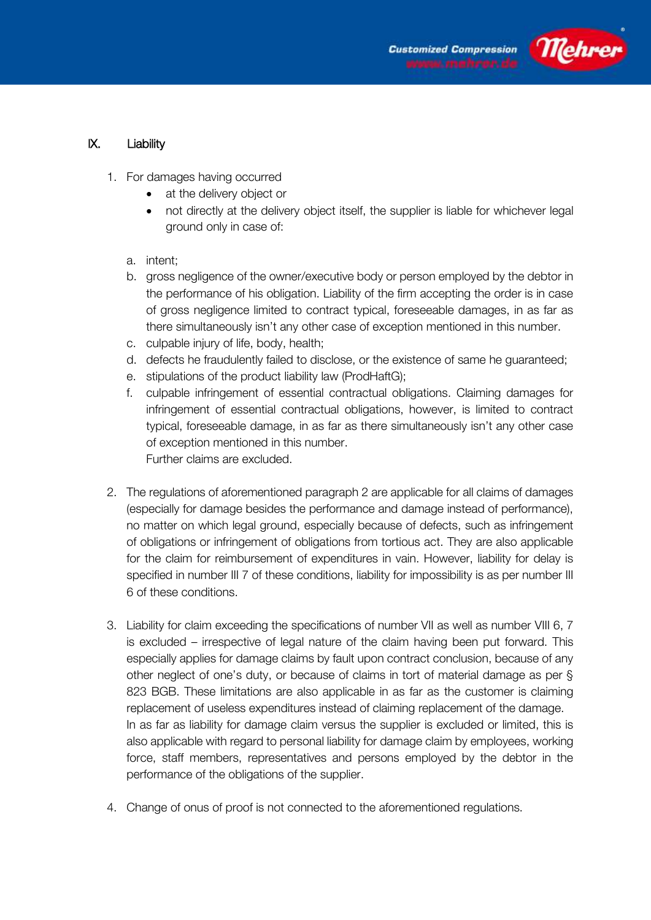



### IX. Liability

- 1. For damages having occurred
	- at the delivery object or
	- not directly at the delivery object itself, the supplier is liable for whichever legal ground only in case of:
	- a. intent;
	- b. gross negligence of the owner/executive body or person employed by the debtor in the performance of his obligation. Liability of the firm accepting the order is in case of gross negligence limited to contract typical, foreseeable damages, in as far as there simultaneously isn't any other case of exception mentioned in this number.
	- c. culpable injury of life, body, health;
	- d. defects he fraudulently failed to disclose, or the existence of same he guaranteed;
	- e. stipulations of the product liability law (ProdHaftG);
	- f. culpable infringement of essential contractual obligations. Claiming damages for infringement of essential contractual obligations, however, is limited to contract typical, foreseeable damage, in as far as there simultaneously isn't any other case of exception mentioned in this number. Further claims are excluded.
- 2. The regulations of aforementioned paragraph 2 are applicable for all claims of damages (especially for damage besides the performance and damage instead of performance), no matter on which legal ground, especially because of defects, such as infringement of obligations or infringement of obligations from tortious act. They are also applicable for the claim for reimbursement of expenditures in vain. However, liability for delay is specified in number III 7 of these conditions, liability for impossibility is as per number III 6 of these conditions.
- 3. Liability for claim exceeding the specifications of number VII as well as number VIII 6, 7 is excluded – irrespective of legal nature of the claim having been put forward. This especially applies for damage claims by fault upon contract conclusion, because of any other neglect of one's duty, or because of claims in tort of material damage as per § 823 BGB. These limitations are also applicable in as far as the customer is claiming replacement of useless expenditures instead of claiming replacement of the damage. In as far as liability for damage claim versus the supplier is excluded or limited, this is also applicable with regard to personal liability for damage claim by employees, working force, staff members, representatives and persons employed by the debtor in the performance of the obligations of the supplier.
- 4. Change of onus of proof is not connected to the aforementioned regulations.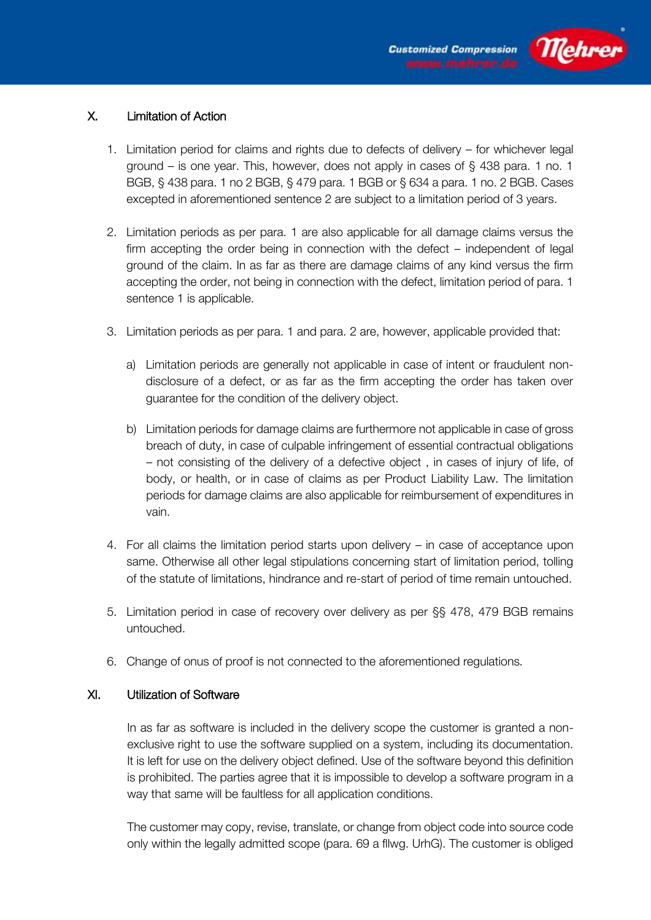

# X. Limitation of Action

- 1. Limitation period for claims and rights due to defects of delivery for whichever legal ground – is one year. This, however, does not apply in cases of § 438 para. 1 no. 1 BGB, § 438 para. 1 no 2 BGB, § 479 para. 1 BGB or § 634 a para. 1 no. 2 BGB. Cases excepted in aforementioned sentence 2 are subject to a limitation period of 3 years.
- 2. Limitation periods as per para. 1 are also applicable for all damage claims versus the firm accepting the order being in connection with the defect – independent of legal ground of the claim. In as far as there are damage claims of any kind versus the firm accepting the order, not being in connection with the defect, limitation period of para. 1 sentence 1 is applicable.
- 3. Limitation periods as per para. 1 and para. 2 are, however, applicable provided that:
	- a) Limitation periods are generally not applicable in case of intent or fraudulent nondisclosure of a defect, or as far as the firm accepting the order has taken over guarantee for the condition of the delivery object.
	- b) Limitation periods for damage claims are furthermore not applicable in case of gross breach of duty, in case of culpable infringement of essential contractual obligations – not consisting of the delivery of a defective object , in cases of injury of life, of body, or health, or in case of claims as per Product Liability Law. The limitation periods for damage claims are also applicable for reimbursement of expenditures in vain.
- 4. For all claims the limitation period starts upon delivery in case of acceptance upon same. Otherwise all other legal stipulations concerning start of limitation period, tolling of the statute of limitations, hindrance and re-start of period of time remain untouched.
- 5. Limitation period in case of recovery over delivery as per §§ 478, 479 BGB remains untouched.
- 6. Change of onus of proof is not connected to the aforementioned regulations.

## XI. Utilization of Software

In as far as software is included in the delivery scope the customer is granted a nonexclusive right to use the software supplied on a system, including its documentation. It is left for use on the delivery object defined. Use of the software beyond this definition is prohibited. The parties agree that it is impossible to develop a software program in a way that same will be faultless for all application conditions.

The customer may copy, revise, translate, or change from object code into source code only within the legally admitted scope (para. 69 a fllwg. UrhG). The customer is obliged